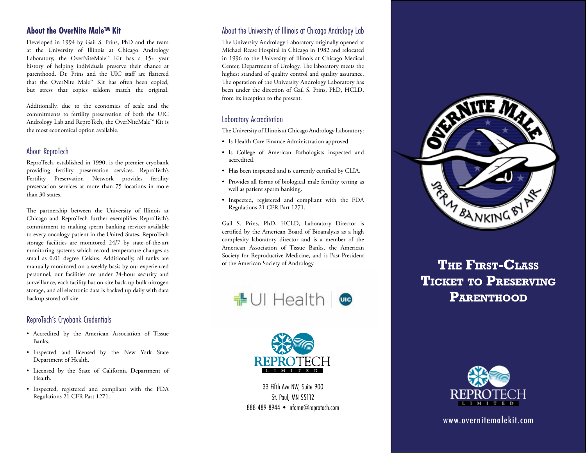# **About the OverNite Male™ Kit**

Developed in 1994 by Gail S. Prins, PhD and the team at the University of Illinois at Chicago Andrology Laboratory, the OverNiteMale™ Kit has a 15+ year history of helping individuals preserve their chance at parenthood. Dr. Prins and the UIC staff are flattered that the OverNite Male™ Kit has often been copied, but stress that copies seldom match the original.

Additionally, due to the economies of scale and the commitments to fertility preservation of both the UIC Andrology Lab and ReproTech, the OverNiteMale™ Kit is the most economical option available.

#### About ReproTech

ReproTech, established in 1990, is the premier cryobank providing fertility preservation services. ReproTech's Fertility Preservation Network provides fertility preservation services at more than 75 locations in more than 30 states.

The partnership between the University of Illinois at Chicago and ReproTech further exemplifies ReproTech's commitment to making sperm banking services available to every oncology patient in the United States. ReproTech storage facilities are monitored 24/7 by state-of-the-art monitoring systems which record temperature changes as small as 0.01 degree Celsius. Additionally, all tanks are manually monitored on a weekly basis by our experienced personnel, our facilities are under 24-hour security and surveillance, each facility has on-site back-up bulk nitrogen storage, and all electronic data is backed up daily with data backup stored off site.

# ReproTech's Cryobank Credentials

- Accredited by the American Association of Tissue Banks.
- Inspected and licensed by the New York State Department of Health.
- Licensed by the State of California Department of Health.
- Inspected, registered and compliant with the FDA Regulations 21 CFR Part 1271.

## About the University of Illinois at Chicago Andrology Lab

The University Andrology Laboratory originally opened at Michael Reese Hospital in Chicago in 1982 and relocated in 1996 to the University of Illinois at Chicago Medical Center, Department of Urology. The laboratory meets the highest standard of quality control and quality assurance. The operation of the University Andrology Laboratory has been under the direction of Gail S. Prins, PhD, HCLD, from its inception to the present.

# Laboratory Accreditation

The University of Illinois at Chicago Andrology Laboratory:

- Is Health Care Finance Administration approved.
- Is College of American Pathologists inspected and accredited.
- Has been inspected and is currently certified by CLIA.
- Provides all forms of biological male fertility testing as well as patient sperm banking.
- Inspected, registered and compliant with the FDA Regulations 21 CFR Part 1271.

Gail S. Prins, PhD, HCLD, Laboratory Director is certified by the American Board of Bioanalysis as a high complexity laboratory director and is a member of the American Association of Tissue Banks, the American Society for Reproductive Medicine, and is Past-President of the American Society of Andrology.





33 Fifth Ave NW, Suite 900 St. Paul, MN 55112 888-489-8944 • infomn@reprotech.com



# **The First-Class Ticket to Preserving PARENTHOOD**



www.overnitemalekit.com